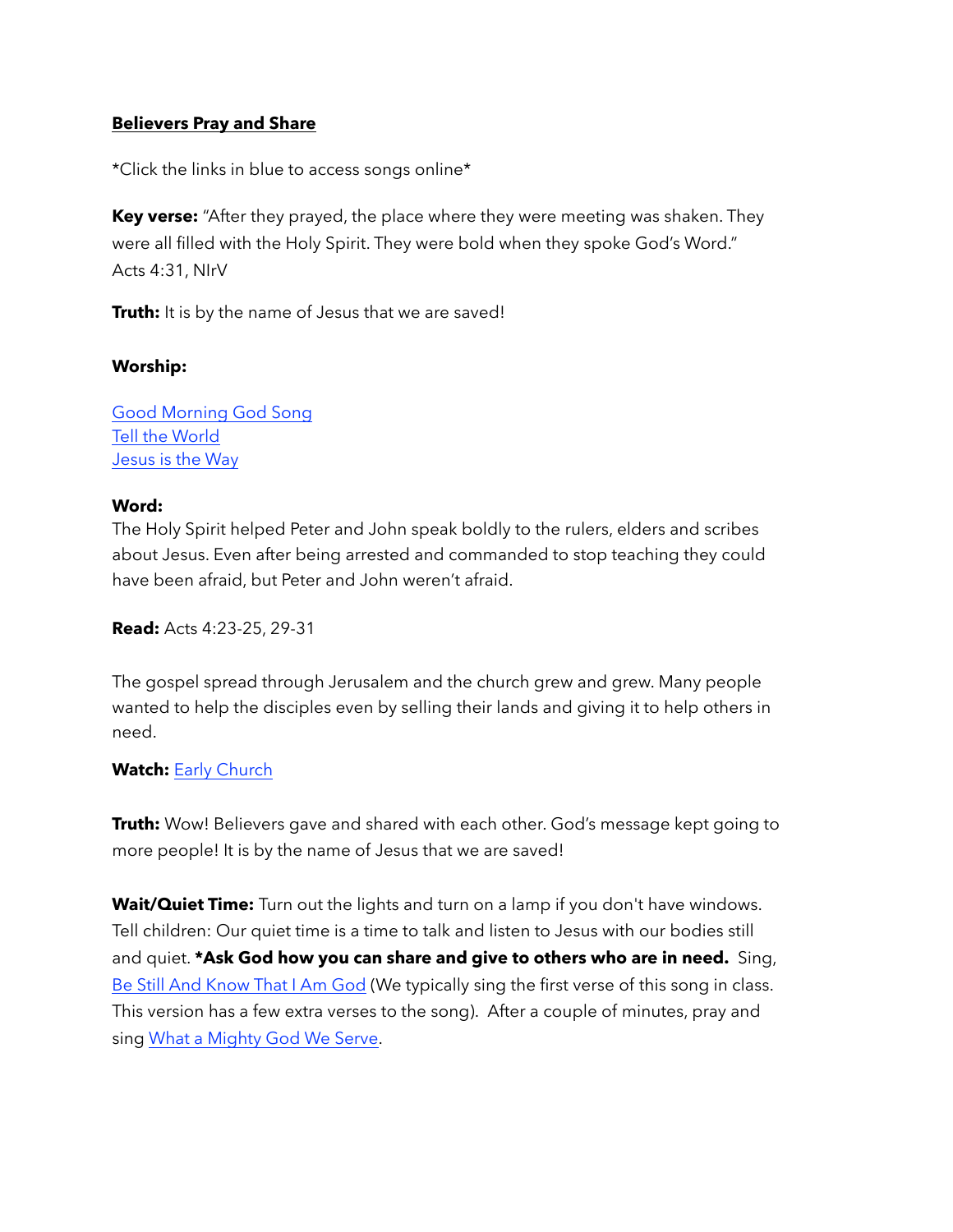# **Believers Pray and Share**

\*Click the links in blue to access songs online\*

**Key verse:** "After they prayed, the place where they were meeting was shaken. They were all filled with the Holy Spirit. They were bold when they spoke God's Word." Acts 4:31, NIrV

**Truth:** It is by the name of Jesus that we are saved!

### **Worship:**

[Good Morning God Song](https://www.youtube.com/watch?v=66uQkCYwAmU) [Tell the World](https://www.youtube.com/watch?v=0UQ7yn2WAFo) [Jesus is the Way](https://www.youtube.com/watch?v=n32VS7HCB74)

### **Word:**

The Holy Spirit helped Peter and John speak boldly to the rulers, elders and scribes about Jesus. Even after being arrested and commanded to stop teaching they could have been afraid, but Peter and John weren't afraid.

**Read:** Acts 4:23-25, 29-31

The gospel spread through Jerusalem and the church grew and grew. Many people wanted to help the disciples even by selling their lands and giving it to help others in need.

# **Watch:** [Early Church](https://www.youtube.com/watch?v=2F034m5Xa_8)

**Truth:** Wow! Believers gave and shared with each other. God's message kept going to more people! It is by the name of Jesus that we are saved!

**Wait/Quiet Time:** Turn out the lights and turn on a lamp if you don't have windows. Tell children: Our quiet time is a time to talk and listen to Jesus with our bodies still and quiet. **\*Ask God how you can share and give to others who are in need.** Sing, [Be Still And Know That I Am God](https://www.youtube.com/watch?v=RYvN-DKh23c) (We typically sing the first verse of this song in class. This version has a few extra verses to the song). After a couple of minutes, pray and sing [What a Mighty God We Serve](https://www.youtube.com/watch?v=SDyD8poRNwA).